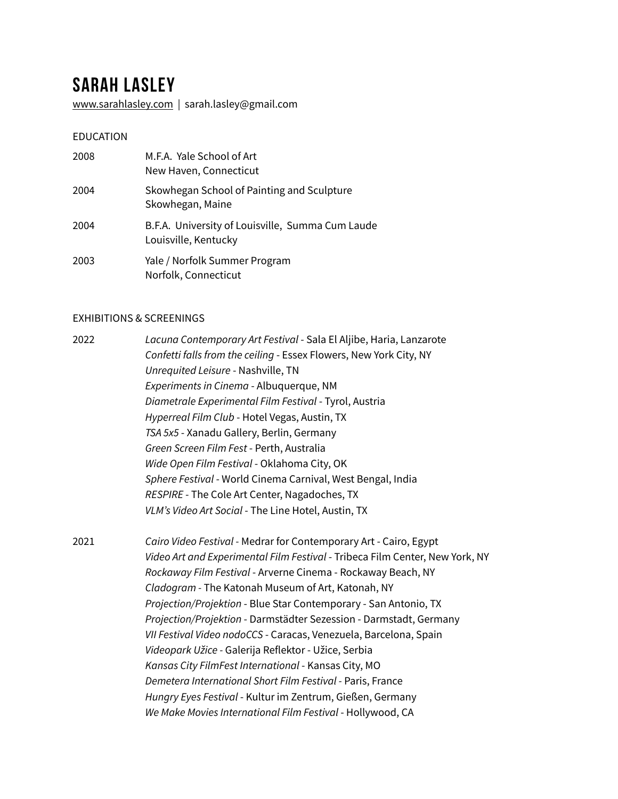# **Sarah Lasley**

[www.sarahlasley.com](http://www.sarahlasley.com) | sarah.lasley@gmail.com

#### EDUCATION

| 2008 | M.F.A. Yale School of Art<br>New Haven, Connecticut                      |
|------|--------------------------------------------------------------------------|
| 2004 | Skowhegan School of Painting and Sculpture<br>Skowhegan, Maine           |
| 2004 | B.F.A. University of Louisville, Summa Cum Laude<br>Louisville, Kentucky |
| 2003 | Yale / Norfolk Summer Program<br>Norfolk, Connecticut                    |

## EXHIBITIONS & SCREENINGS

| 2022 | Lacuna Contemporary Art Festival - Sala El Aljibe, Haria, Lanzarote   |
|------|-----------------------------------------------------------------------|
|      | Confetti falls from the ceiling - Essex Flowers, New York City, NY    |
|      | Unrequited Leisure - Nashville, TN                                    |
|      | Experiments in Cinema - Albuquerque, NM                               |
|      | Diametrale Experimental Film Festival - Tyrol, Austria                |
|      | Hyperreal Film Club - Hotel Vegas, Austin, TX                         |
|      | TSA 5x5 - Xanadu Gallery, Berlin, Germany                             |
|      | Green Screen Film Fest - Perth, Australia                             |
|      | Wide Open Film Festival - Oklahoma City, OK                           |
|      | Sphere Festival - World Cinema Carnival, West Bengal, India           |
|      | RESPIRE - The Cole Art Center, Nagadoches, TX                         |
|      | VLM's Video Art Social - The Line Hotel, Austin, TX                   |
| 2021 | Cairo Video Festival - Medrar for Contemporary Art - Cairo, Egypt     |
|      | Video Art and Experimental Film Festival - Tribeca Film Center, New Y |

 *Video Art and Experimental Film Festival* - Tribeca Film Center, New York, NY *Rockaway Film Festival* - Arverne Cinema - Rockaway Beach, NY *Cladogram -* The Katonah Museum of Art, Katonah, NY *Projection/Projektion* - Blue Star Contemporary - San Antonio, TX *Projection/Projektion* - Darmstädter Sezession - Darmstadt, Germany *VII Festival Video nodoCCS* - Caracas, Venezuela, Barcelona, Spain *Videopark Užice -* Galerija Reflektor - Užice, Serbia *Kansas City FilmFest International* - Kansas City, MO *Demetera International Short Film Festival -* Paris, France *Hungry Eyes Festival* - Kultur im Zentrum, Gießen, Germany We Make Movies International Film Festival - Hollywood, CA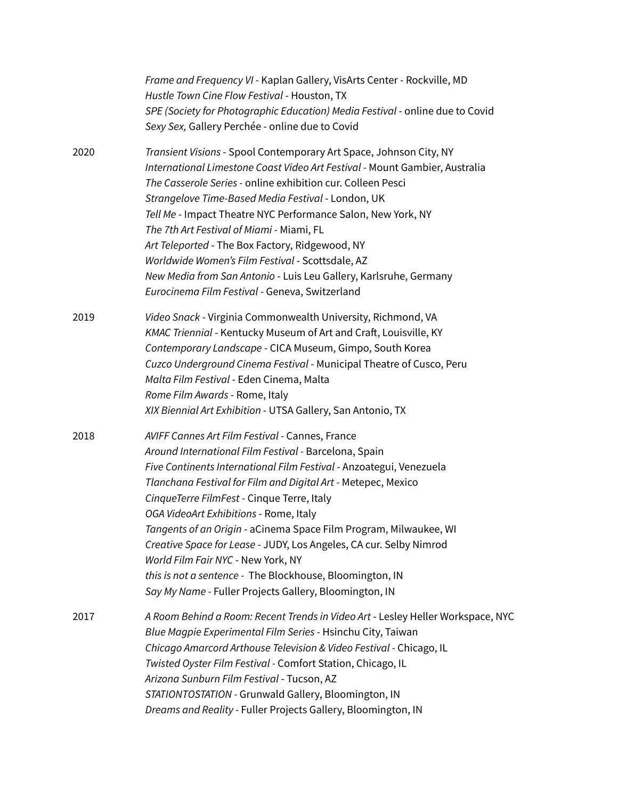|      | Frame and Frequency VI - Kaplan Gallery, VisArts Center - Rockville, MD<br>Hustle Town Cine Flow Festival - Houston, TX<br>SPE (Society for Photographic Education) Media Festival - online due to Covid<br>Sexy Sex, Gallery Perchée - online due to Covid                                                                                                                                                                                                                                                                                                                                                                                            |
|------|--------------------------------------------------------------------------------------------------------------------------------------------------------------------------------------------------------------------------------------------------------------------------------------------------------------------------------------------------------------------------------------------------------------------------------------------------------------------------------------------------------------------------------------------------------------------------------------------------------------------------------------------------------|
| 2020 | Transient Visions - Spool Contemporary Art Space, Johnson City, NY<br>International Limestone Coast Video Art Festival - Mount Gambier, Australia<br>The Casserole Series - online exhibition cur. Colleen Pesci<br>Strangelove Time-Based Media Festival - London, UK<br>Tell Me - Impact Theatre NYC Performance Salon, New York, NY<br>The 7th Art Festival of Miami - Miami, FL<br>Art Teleported - The Box Factory, Ridgewood, NY<br>Worldwide Women's Film Festival - Scottsdale, AZ<br>New Media from San Antonio - Luis Leu Gallery, Karlsruhe, Germany<br>Eurocinema Film Festival - Geneva, Switzerland                                      |
| 2019 | Video Snack - Virginia Commonwealth University, Richmond, VA<br>KMAC Triennial - Kentucky Museum of Art and Craft, Louisville, KY<br>Contemporary Landscape - CICA Museum, Gimpo, South Korea<br>Cuzco Underground Cinema Festival - Municipal Theatre of Cusco, Peru<br>Malta Film Festival - Eden Cinema, Malta<br>Rome Film Awards - Rome, Italy<br>XIX Biennial Art Exhibition - UTSA Gallery, San Antonio, TX                                                                                                                                                                                                                                     |
| 2018 | AVIFF Cannes Art Film Festival - Cannes, France<br>Around International Film Festival - Barcelona, Spain<br>Five Continents International Film Festival - Anzoategui, Venezuela<br>Tlanchana Festival for Film and Digital Art - Metepec, Mexico<br>CinqueTerre FilmFest - Cinque Terre, Italy<br>OGA VideoArt Exhibitions - Rome, Italy<br><i>Tangents of an Origin -</i> aCinema Space Film Program, Milwaukee, WI<br>Creative Space for Lease - JUDY, Los Angeles, CA cur. Selby Nimrod<br>World Film Fair NYC - New York, NY<br>this is not a sentence - The Blockhouse, Bloomington, IN<br>Say My Name - Fuller Projects Gallery, Bloomington, IN |
| 2017 | A Room Behind a Room: Recent Trends in Video Art - Lesley Heller Workspace, NYC<br>Blue Magpie Experimental Film Series - Hsinchu City, Taiwan<br>Chicago Amarcord Arthouse Television & Video Festival - Chicago, IL<br>Twisted Oyster Film Festival - Comfort Station, Chicago, IL<br>Arizona Sunburn Film Festival - Tucson, AZ<br>STATIONTOSTATION - Grunwald Gallery, Bloomington, IN<br>Dreams and Reality - Fuller Projects Gallery, Bloomington, IN                                                                                                                                                                                            |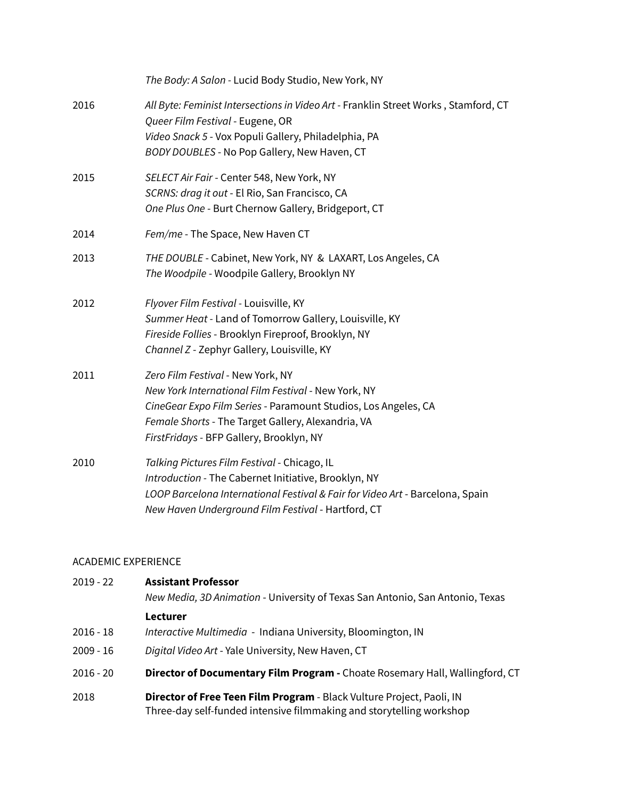|      | The Body: A Salon - Lucid Body Studio, New York, NY                                                                                                                                                                                                          |
|------|--------------------------------------------------------------------------------------------------------------------------------------------------------------------------------------------------------------------------------------------------------------|
| 2016 | All Byte: Feminist Intersections in Video Art - Franklin Street Works, Stamford, CT<br>Queer Film Festival - Eugene, OR<br>Video Snack 5 - Vox Populi Gallery, Philadelphia, PA<br>BODY DOUBLES - No Pop Gallery, New Haven, CT                              |
| 2015 | SELECT Air Fair - Center 548, New York, NY<br>SCRNS: drag it out - El Rio, San Francisco, CA<br>One Plus One - Burt Chernow Gallery, Bridgeport, CT                                                                                                          |
| 2014 | Fem/me - The Space, New Haven CT                                                                                                                                                                                                                             |
| 2013 | THE DOUBLE - Cabinet, New York, NY & LAXART, Los Angeles, CA<br>The Woodpile - Woodpile Gallery, Brooklyn NY                                                                                                                                                 |
| 2012 | Flyover Film Festival - Louisville, KY<br>Summer Heat - Land of Tomorrow Gallery, Louisville, KY<br>Fireside Follies - Brooklyn Fireproof, Brooklyn, NY<br>Channel Z - Zephyr Gallery, Louisville, KY                                                        |
| 2011 | Zero Film Festival - New York, NY<br>New York International Film Festival - New York, NY<br>CineGear Expo Film Series - Paramount Studios, Los Angeles, CA<br>Female Shorts - The Target Gallery, Alexandria, VA<br>FirstFridays - BFP Gallery, Brooklyn, NY |
| 2010 | Talking Pictures Film Festival - Chicago, IL<br>Introduction - The Cabernet Initiative, Brooklyn, NY<br>LOOP Barcelona International Festival & Fair for Video Art - Barcelona, Spain<br>New Haven Underground Film Festival - Hartford, CT                  |

## ACADEMIC EXPERIENCE

| $2019 - 22$ | <b>Assistant Professor</b><br>New Media, 3D Animation - University of Texas San Antonio, San Antonio, Texas                                   |
|-------------|-----------------------------------------------------------------------------------------------------------------------------------------------|
|             | Lecturer                                                                                                                                      |
| $2016 - 18$ | Interactive Multimedia - Indiana University, Bloomington, IN                                                                                  |
| $2009 - 16$ | Digital Video Art - Yale University, New Haven, CT                                                                                            |
| $2016 - 20$ | Director of Documentary Film Program - Choate Rosemary Hall, Wallingford, CT                                                                  |
| 2018        | Director of Free Teen Film Program - Black Vulture Project, Paoli, IN<br>Three-day self-funded intensive filmmaking and storytelling workshop |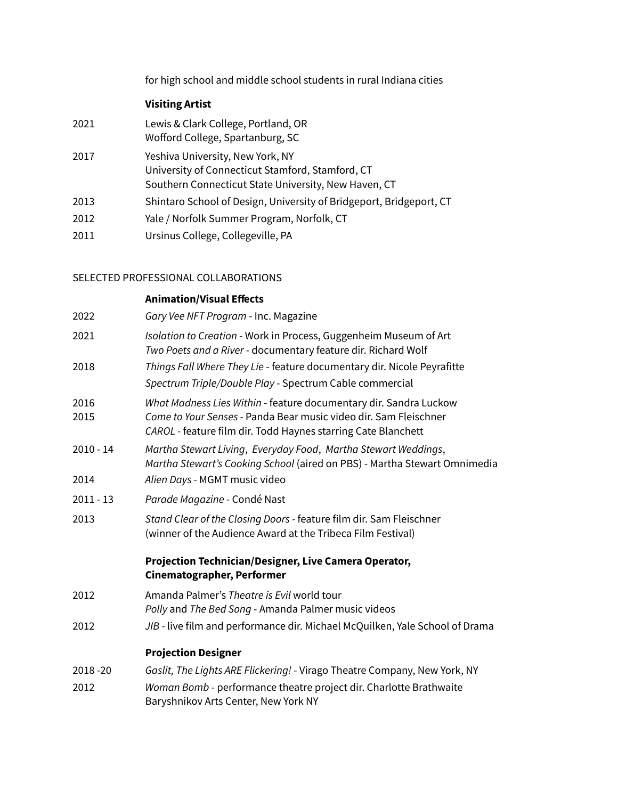for high school and middle school students in rural Indiana cities

# **Visiting Artist**

| 2021 | Lewis & Clark College, Portland, OR<br>Wofford College, Spartanburg, SC                                                                      |
|------|----------------------------------------------------------------------------------------------------------------------------------------------|
| 2017 | Yeshiva University, New York, NY<br>University of Connecticut Stamford, Stamford, CT<br>Southern Connecticut State University, New Haven, CT |
| 2013 | Shintaro School of Design, University of Bridgeport, Bridgeport, CT                                                                          |
| 2012 | Yale / Norfolk Summer Program, Norfolk, CT                                                                                                   |
| 2011 | Ursinus College, Collegeville, PA                                                                                                            |

# SELECTED PROFESSIONAL COLLABORATIONS

|              | <b>Animation/Visual Effects</b>                                                                                                                                                                        |
|--------------|--------------------------------------------------------------------------------------------------------------------------------------------------------------------------------------------------------|
| 2022         | Gary Vee NFT Program - Inc. Magazine                                                                                                                                                                   |
| 2021         | Isolation to Creation - Work in Process, Guggenheim Museum of Art<br>Two Poets and a River - documentary feature dir. Richard Wolf                                                                     |
| 2018         | Things Fall Where They Lie - feature documentary dir. Nicole Peyrafitte<br>Spectrum Triple/Double Play - Spectrum Cable commercial                                                                     |
| 2016<br>2015 | What Madness Lies Within - feature documentary dir. Sandra Luckow<br>Come to Your Senses - Panda Bear music video dir. Sam Fleischner<br>CAROL - feature film dir. Todd Haynes starring Cate Blanchett |
| $2010 - 14$  | Martha Stewart Living, Everyday Food, Martha Stewart Weddings,<br>Martha Stewart's Cooking School (aired on PBS) - Martha Stewart Omnimedia                                                            |
| 2014         | Alien Days - MGMT music video                                                                                                                                                                          |
| $2011 - 13$  | Parade Magazine - Condé Nast                                                                                                                                                                           |
| 2013         | Stand Clear of the Closing Doors - feature film dir. Sam Fleischner<br>(winner of the Audience Award at the Tribeca Film Festival)                                                                     |
|              | Projection Technician/Designer, Live Camera Operator,<br>Cinematographer, Performer                                                                                                                    |
| 2012         | Amanda Palmer's Theatre is Evil world tour<br>Polly and The Bed Song - Amanda Palmer music videos                                                                                                      |
| 2012         | JIB - live film and performance dir. Michael McQuilken, Yale School of Drama                                                                                                                           |
|              | <b>Projection Designer</b>                                                                                                                                                                             |
| 2018-20      | Gaslit, The Lights ARE Flickering! - Virago Theatre Company, New York, NY                                                                                                                              |
| 2012         | Woman Bomb - performance theatre project dir. Charlotte Brathwaite<br>Baryshnikov Arts Center, New York NY                                                                                             |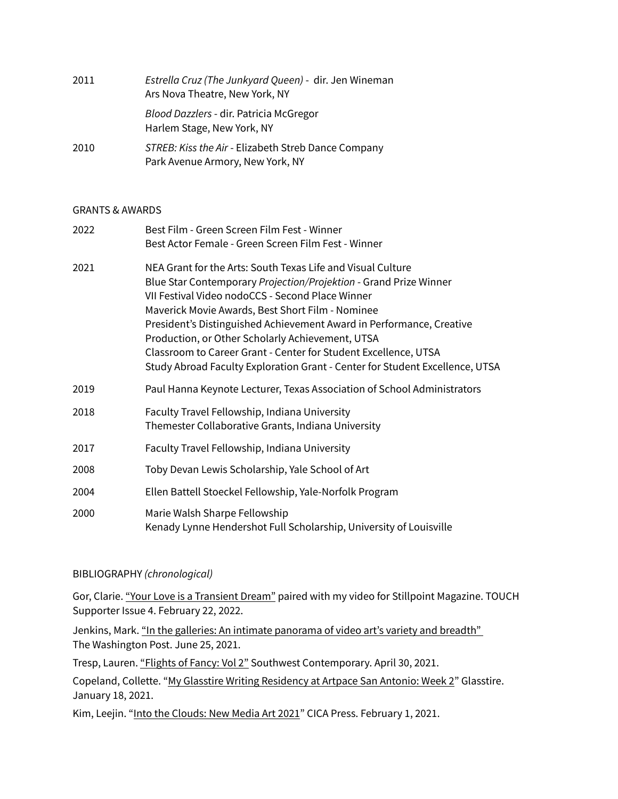| 2011 | Estrella Cruz (The Junkyard Queen) - dir. Jen Wineman<br>Ars Nova Theatre, New York, NY |
|------|-----------------------------------------------------------------------------------------|
|      | Blood Dazzlers - dir. Patricia McGregor<br>Harlem Stage, New York, NY                   |
| 2010 | STREB: Kiss the Air - Elizabeth Streb Dance Company<br>Park Avenue Armory, New York, NY |

## GRANTS & AWARDS

| 2022 | Best Film - Green Screen Film Fest - Winner                                                                                                                                                                                                                                                                                                                                                                                             |
|------|-----------------------------------------------------------------------------------------------------------------------------------------------------------------------------------------------------------------------------------------------------------------------------------------------------------------------------------------------------------------------------------------------------------------------------------------|
|      | Best Actor Female - Green Screen Film Fest - Winner                                                                                                                                                                                                                                                                                                                                                                                     |
| 2021 | NEA Grant for the Arts: South Texas Life and Visual Culture<br>Blue Star Contemporary Projection/Projektion - Grand Prize Winner<br>VII Festival Video nodoCCS - Second Place Winner<br>Maverick Movie Awards, Best Short Film - Nominee<br>President's Distinguished Achievement Award in Performance, Creative<br>Production, or Other Scholarly Achievement, UTSA<br>Classroom to Career Grant - Center for Student Excellence, UTSA |
|      | Study Abroad Faculty Exploration Grant - Center for Student Excellence, UTSA                                                                                                                                                                                                                                                                                                                                                            |
| 2019 | Paul Hanna Keynote Lecturer, Texas Association of School Administrators                                                                                                                                                                                                                                                                                                                                                                 |
| 2018 | Faculty Travel Fellowship, Indiana University<br>Themester Collaborative Grants, Indiana University                                                                                                                                                                                                                                                                                                                                     |
| 2017 | Faculty Travel Fellowship, Indiana University                                                                                                                                                                                                                                                                                                                                                                                           |
| 2008 | Toby Devan Lewis Scholarship, Yale School of Art                                                                                                                                                                                                                                                                                                                                                                                        |
| 2004 | Ellen Battell Stoeckel Fellowship, Yale-Norfolk Program                                                                                                                                                                                                                                                                                                                                                                                 |
| 2000 | Marie Walsh Sharpe Fellowship<br>Kenady Lynne Hendershot Full Scholarship, University of Louisville                                                                                                                                                                                                                                                                                                                                     |

## BIBLIOGRAPHY *(chronological)*

Gor, Clarie. ["Your Love is a Transient Dream"](https://stillpointmag.org/issue/s4-touch/) paired with my video for Stillpoint Magazine. TOUCH Supporter Issue 4. February 22, 2022.

Jenkins, Mark. "In the galleries: An intimate panorama of video art's variety and breadth" The Washington Post. June 25, 2021.

Tresp, Lauren. ["Flights of Fancy: Vol 2"](https://southwestcontemporary.com/sarah-lasley/) Southwest Contemporary. April 30, 2021.

Copeland, Collette. "[My Glasstire Writing Residency at Artpace San Antonio: Week 2](https://glasstire.com/2021/01/18/an-informal-residency-at-artpace-san-antonio/)" Glasstire. January 18, 2021.

Kim, Leejin. ["Into the Clouds: New Media Art 2021](https://www.goodreads.com/book/show/56645540-into-the-clouds)" CICA Press. February 1, 2021.